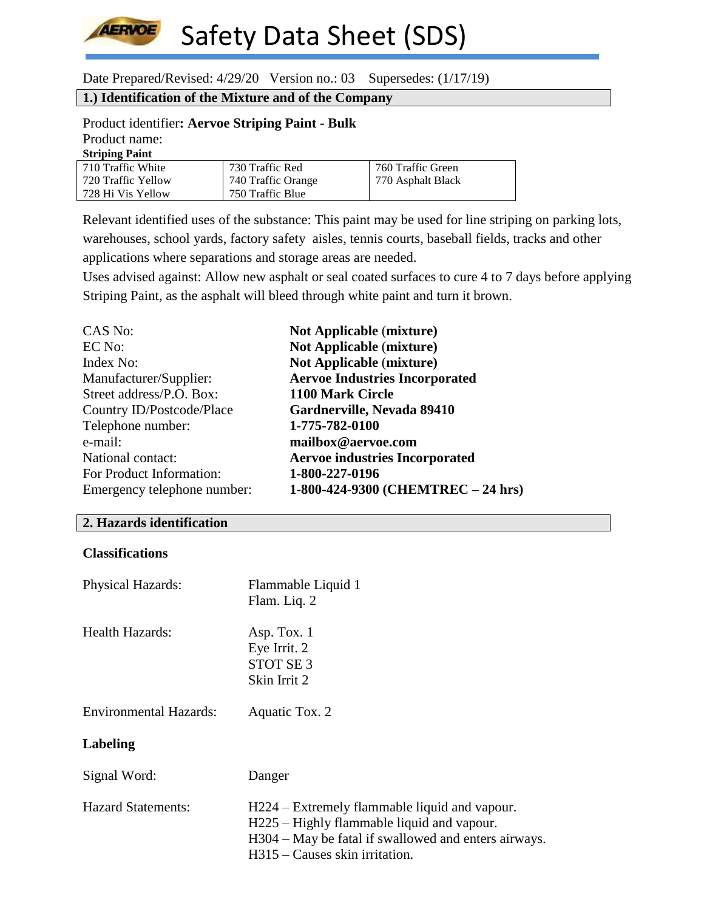

728 Hi Vis Yellow

Safety Data Sheet (SDS)

Date Prepared/Revised: 4/29/20 Version no.: 03 Supersedes: (1/17/19)

750 Traffic Blue

### **1.) Identification of the Mixture and of the Company**

#### Product identifier**: Aervoe Striping Paint - Bulk** Product name: **Striping Paint**

| Striping Paint     |                    |
|--------------------|--------------------|
| 710 Traffic White  | 730 Traffic Red    |
| 720 Traffic Yellow | 740 Traffic Orange |

Relevant identified uses of the substance: This paint may be used for line striping on parking lots, warehouses, school yards, factory safety aisles, tennis courts, baseball fields, tracks and other applications where separations and storage areas are needed.

760 Traffic Green 770 Asphalt Black

Uses advised against: Allow new asphalt or seal coated surfaces to cure 4 to 7 days before applying Striping Paint, as the asphalt will bleed through white paint and turn it brown.

| CAS No:                     | <b>Not Applicable (mixture)</b>       |
|-----------------------------|---------------------------------------|
| EC No:                      | <b>Not Applicable (mixture)</b>       |
| Index No:                   | <b>Not Applicable (mixture)</b>       |
| Manufacturer/Supplier:      | <b>Aervoe Industries Incorporated</b> |
| Street address/P.O. Box:    | 1100 Mark Circle                      |
| Country ID/Postcode/Place   | Gardnerville, Nevada 89410            |
| Telephone number:           | 1-775-782-0100                        |
| e-mail:                     | mailbox@aervoe.com                    |
| National contact:           | <b>Aervoe industries Incorporated</b> |
| For Product Information:    | 1-800-227-0196                        |
| Emergency telephone number: | 1-800-424-9300 (CHEMTREC - 24 hrs)    |

#### **2. Hazards identification**

## **Classifications**

| <b>Physical Hazards:</b>      | Flammable Liquid 1<br>Flam. Liq. 2                                                                                                                                                       |
|-------------------------------|------------------------------------------------------------------------------------------------------------------------------------------------------------------------------------------|
| Health Hazards:               | Asp. Tox. 1<br>Eye Irrit. 2<br>STOT SE <sub>3</sub><br>Skin Irrit 2                                                                                                                      |
| <b>Environmental Hazards:</b> | Aquatic Tox. 2                                                                                                                                                                           |
| Labeling                      |                                                                                                                                                                                          |
| Signal Word:                  | Danger                                                                                                                                                                                   |
| <b>Hazard Statements:</b>     | H224 – Extremely flammable liquid and vapour.<br>H225 – Highly flammable liquid and vapour.<br>H304 – May be fatal if swallowed and enters airways.<br>$H315 - C$ auses skin irritation. |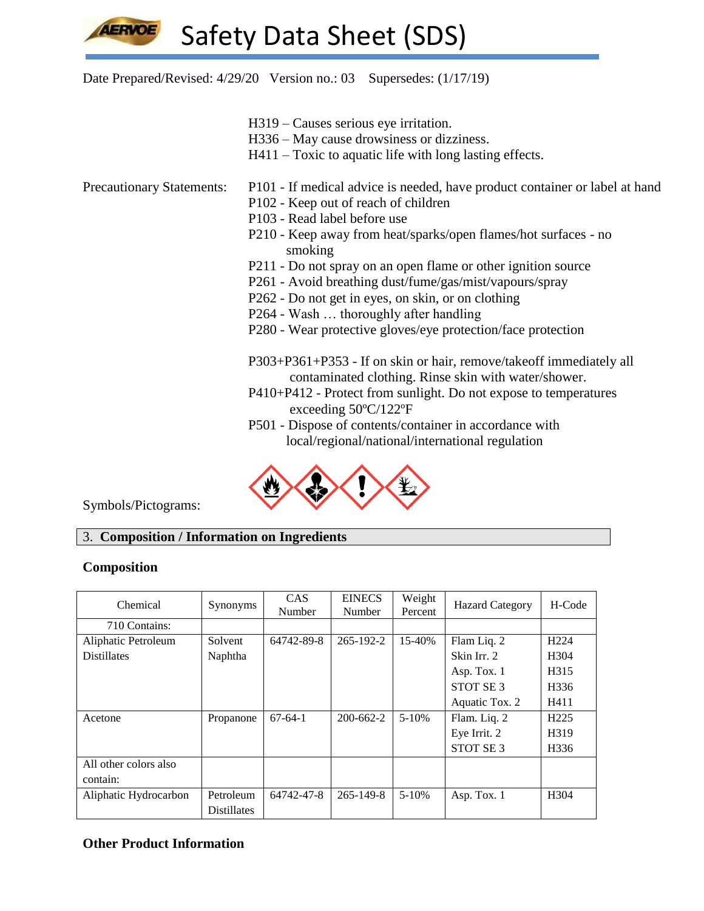Date Prepared/Revised: 4/29/20 Version no.: 03 Supersedes: (1/17/19)

- H319 Causes serious eye irritation.
- H336 May cause drowsiness or dizziness.
- H411 Toxic to aquatic life with long lasting effects.

- Precautionary Statements: P101 If medical advice is needed, have product container or label at hand
	- P102 Keep out of reach of children
	- P103 Read label before use
	- P210 Keep away from heat/sparks/open flames/hot surfaces no smoking
	- P211 Do not spray on an open flame or other ignition source
	- P261 Avoid breathing dust/fume/gas/mist/vapours/spray
	- P262 Do not get in eyes, on skin, or on clothing
	- P264 Wash … thoroughly after handling
	- P280 Wear protective gloves/eye protection/face protection

P303+P361+P353 - If on skin or hair, remove/takeoff immediately all contaminated clothing. Rinse skin with water/shower.

- P410+P412 Protect from sunlight. Do not expose to temperatures exceeding 50ºC/122ºF
- P501 Dispose of contents/container in accordance with local/regional/national/international regulation



Symbols/Pictograms:

# 3. **Composition / Information on Ingredients**

### **Composition**

| Chemical              | Synonyms           | <b>CAS</b><br>Number | <b>EINECS</b><br>Number | Weight<br>Percent | <b>Hazard Category</b> | H-Code            |
|-----------------------|--------------------|----------------------|-------------------------|-------------------|------------------------|-------------------|
| 710 Contains:         |                    |                      |                         |                   |                        |                   |
| Aliphatic Petroleum   | Solvent            | 64742-89-8           | $265 - 192 - 2$         | 15-40%            | Flam Liq. 2            | H <sub>224</sub>  |
| <b>Distillates</b>    | Naphtha            |                      |                         |                   | Skin Irr. 2            | H <sub>304</sub>  |
|                       |                    |                      |                         |                   | Asp. Tox. 1            | H <sub>3</sub> 15 |
|                       |                    |                      |                         |                   | STOT SE <sub>3</sub>   | H <sub>336</sub>  |
|                       |                    |                      |                         |                   | Aquatic Tox. 2         | H411              |
| Acetone               | Propanone          | $67-64-1$            | $200 - 662 - 2$         | $5-10%$           | Flam. Liq. 2           | H <sub>225</sub>  |
|                       |                    |                      |                         |                   | Eye Irrit. 2           | H319              |
|                       |                    |                      |                         |                   | STOT SE <sub>3</sub>   | H <sub>336</sub>  |
| All other colors also |                    |                      |                         |                   |                        |                   |
| contain:              |                    |                      |                         |                   |                        |                   |
| Aliphatic Hydrocarbon | Petroleum          | 64742-47-8           | $265 - 149 - 8$         | $5 - 10%$         | Asp. Tox. 1            | H <sub>304</sub>  |
|                       | <b>Distillates</b> |                      |                         |                   |                        |                   |

### **Other Product Information**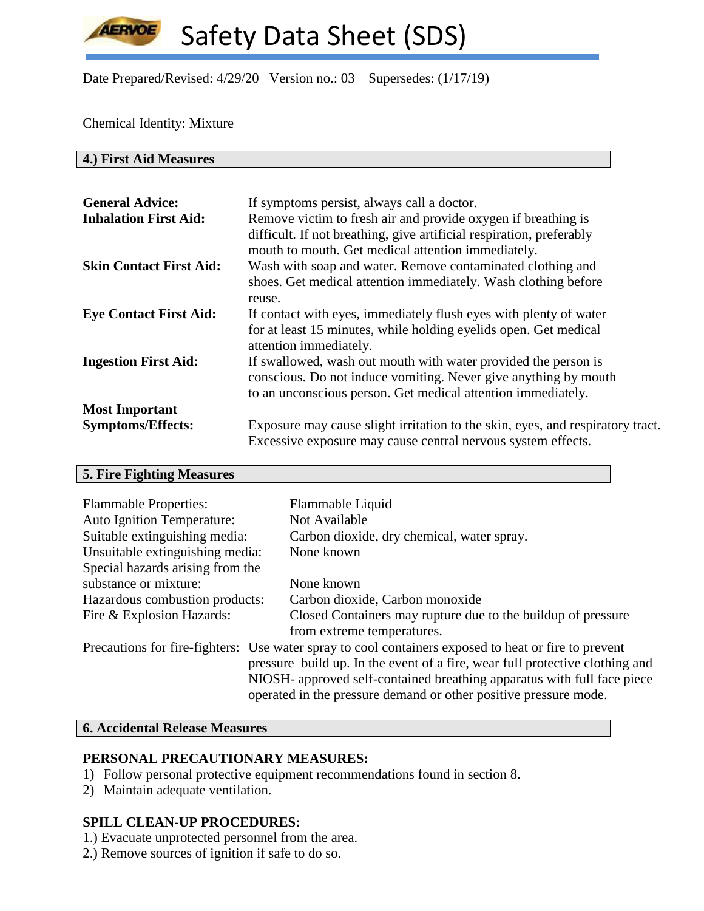**AERVOE** 

Safety Data Sheet (SDS)

Date Prepared/Revised: 4/29/20 Version no.: 03 Supersedes: (1/17/19)

Chemical Identity: Mixture

**4.) First Aid Measures**

| <b>General Advice:</b><br><b>Inhalation First Aid:</b> | If symptoms persist, always call a doctor.<br>Remove victim to fresh air and provide oxygen if breathing is<br>difficult. If not breathing, give artificial respiration, preferably<br>mouth to mouth. Get medical attention immediately. |
|--------------------------------------------------------|-------------------------------------------------------------------------------------------------------------------------------------------------------------------------------------------------------------------------------------------|
| <b>Skin Contact First Aid:</b>                         | Wash with soap and water. Remove contaminated clothing and<br>shoes. Get medical attention immediately. Wash clothing before<br>reuse.                                                                                                    |
| <b>Eye Contact First Aid:</b>                          | If contact with eyes, immediately flush eyes with plenty of water<br>for at least 15 minutes, while holding eyelids open. Get medical<br>attention immediately.                                                                           |
| <b>Ingestion First Aid:</b>                            | If swallowed, wash out mouth with water provided the person is<br>conscious. Do not induce vomiting. Never give anything by mouth<br>to an unconscious person. Get medical attention immediately.                                         |
| <b>Most Important</b>                                  |                                                                                                                                                                                                                                           |
| <b>Symptoms/Effects:</b>                               | Exposure may cause slight irritation to the skin, eyes, and respiratory tract.<br>Excessive exposure may cause central nervous system effects.                                                                                            |

# **5. Fire Fighting Measures**

| <b>Flammable Properties:</b>      | Flammable Liquid                                                                                                                                                                                                                                                                                                                    |
|-----------------------------------|-------------------------------------------------------------------------------------------------------------------------------------------------------------------------------------------------------------------------------------------------------------------------------------------------------------------------------------|
| <b>Auto Ignition Temperature:</b> | Not Available                                                                                                                                                                                                                                                                                                                       |
| Suitable extinguishing media:     | Carbon dioxide, dry chemical, water spray.                                                                                                                                                                                                                                                                                          |
| Unsuitable extinguishing media:   | None known                                                                                                                                                                                                                                                                                                                          |
| Special hazards arising from the  |                                                                                                                                                                                                                                                                                                                                     |
| substance or mixture:             | None known                                                                                                                                                                                                                                                                                                                          |
| Hazardous combustion products:    | Carbon dioxide, Carbon monoxide                                                                                                                                                                                                                                                                                                     |
| Fire & Explosion Hazards:         | Closed Containers may rupture due to the buildup of pressure                                                                                                                                                                                                                                                                        |
|                                   | from extreme temperatures.                                                                                                                                                                                                                                                                                                          |
|                                   | Precautions for fire-fighters: Use water spray to cool containers exposed to heat or fire to prevent<br>pressure build up. In the event of a fire, wear full protective clothing and<br>NIOSH- approved self-contained breathing apparatus with full face piece<br>operated in the pressure demand or other positive pressure mode. |

# **6. Accidental Release Measures**

## **PERSONAL PRECAUTIONARY MEASURES:**

- 1) Follow personal protective equipment recommendations found in section 8.
- 2) Maintain adequate ventilation.

# **SPILL CLEAN-UP PROCEDURES:**

- 1.) Evacuate unprotected personnel from the area.
- 2.) Remove sources of ignition if safe to do so.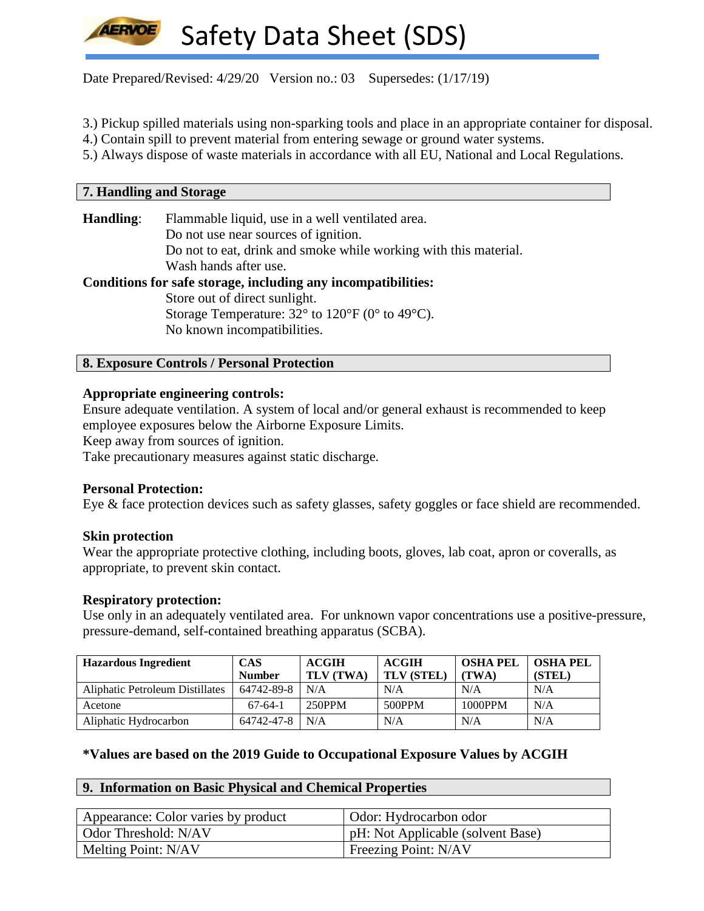Date Prepared/Revised: 4/29/20 Version no.: 03 Supersedes: (1/17/19)

3.) Pickup spilled materials using non-sparking tools and place in an appropriate container for disposal.

4.) Contain spill to prevent material from entering sewage or ground water systems.

5.) Always dispose of waste materials in accordance with all EU, National and Local Regulations.

| <b>7. Handling and Storage</b> |                                                                    |
|--------------------------------|--------------------------------------------------------------------|
|                                |                                                                    |
| Handling:                      | Flammable liquid, use in a well ventilated area.                   |
|                                | Do not use near sources of ignition.                               |
|                                | Do not to eat, drink and smoke while working with this material.   |
|                                | Wash hands after use.                                              |
|                                | Conditions for safe storage, including any incompatibilities:      |
|                                | Store out of direct sunlight.                                      |
|                                | Storage Temperature: $32^{\circ}$ to $120^{\circ}$ F (0° to 49°C). |
|                                | No known incompatibilities.                                        |
|                                |                                                                    |

## **8. Exposure Controls / Personal Protection**

#### **Appropriate engineering controls:**

Ensure adequate ventilation. A system of local and/or general exhaust is recommended to keep employee exposures below the Airborne Exposure Limits.

Keep away from sources of ignition.

Take precautionary measures against static discharge.

#### **Personal Protection:**

Eye & face protection devices such as safety glasses, safety goggles or face shield are recommended.

#### **Skin protection**

Wear the appropriate protective clothing, including boots, gloves, lab coat, apron or coveralls, as appropriate, to prevent skin contact.

#### **Respiratory protection:**

Use only in an adequately ventilated area. For unknown vapor concentrations use a positive-pressure, pressure-demand, self-contained breathing apparatus (SCBA).

| <b>Hazardous Ingredient</b>            | <b>CAS</b>    | <b>ACGIH</b> | <b>ACGIH</b>      | <b>OSHA PEL</b> | <b>OSHA PEL</b> |
|----------------------------------------|---------------|--------------|-------------------|-----------------|-----------------|
|                                        | <b>Number</b> | TLV (TWA)    | <b>TLV (STEL)</b> | (TWA)           | (STEL)          |
| <b>Aliphatic Petroleum Distillates</b> | 64742-89-8    | N/A          | N/A               | N/A             | N/A             |
| Acetone                                | $67-64-1$     | 250PPM       | 500PPM            | 1000PPM         | N/A             |
| Aliphatic Hydrocarbon                  | 64742-47-8    | N/A          | N/A               | N/A             | N/A             |

### **\*Values are based on the 2019 Guide to Occupational Exposure Values by ACGIH**

### **9. Information on Basic Physical and Chemical Properties**

| Appearance: Color varies by product | Odor: Hydrocarbon odor            |
|-------------------------------------|-----------------------------------|
| Odor Threshold: N/AV                | pH: Not Applicable (solvent Base) |
| Melting Point: N/AV                 | Freezing Point: N/AV              |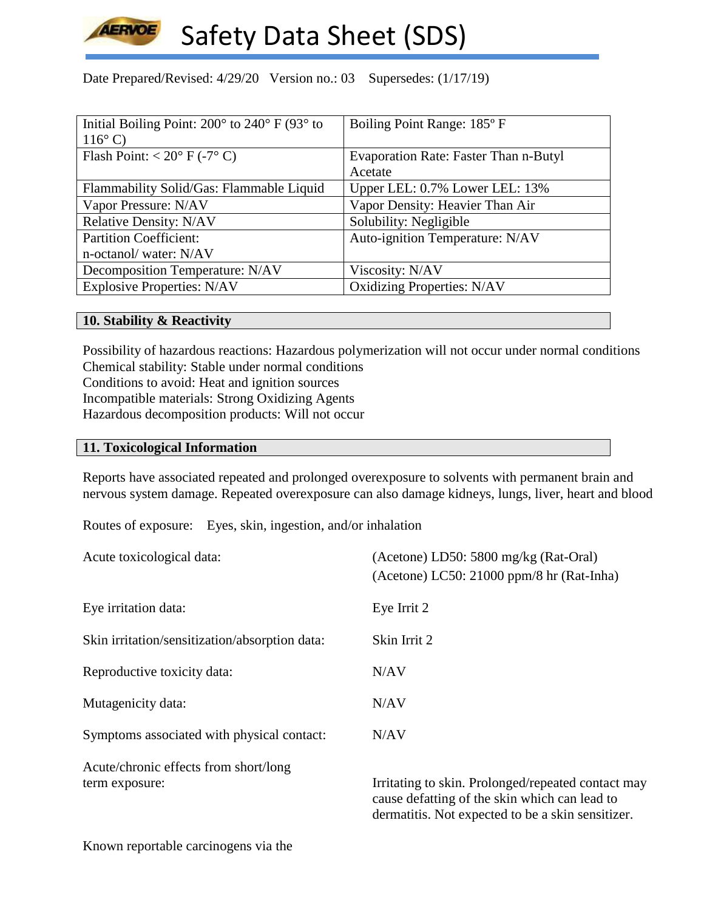

Date Prepared/Revised: 4/29/20 Version no.: 03 Supersedes: (1/17/19)

| Initial Boiling Point: $200^\circ$ to $240^\circ$ F (93 $^\circ$ to | Boiling Point Range: 185°F            |
|---------------------------------------------------------------------|---------------------------------------|
| $116^{\circ}$ C)                                                    |                                       |
| Flash Point: $< 20^{\circ}$ F (-7° C)                               | Evaporation Rate: Faster Than n-Butyl |
|                                                                     | Acetate                               |
| Flammability Solid/Gas: Flammable Liquid                            | Upper LEL: 0.7% Lower LEL: 13%        |
| Vapor Pressure: N/AV                                                | Vapor Density: Heavier Than Air       |
| <b>Relative Density: N/AV</b>                                       | Solubility: Negligible                |
| <b>Partition Coefficient:</b>                                       | Auto-ignition Temperature: N/AV       |
| n-octanol/water: N/AV                                               |                                       |
| Decomposition Temperature: N/AV                                     | Viscosity: N/AV                       |
| <b>Explosive Properties: N/AV</b>                                   | <b>Oxidizing Properties: N/AV</b>     |

### **10. Stability & Reactivity**

Possibility of hazardous reactions: Hazardous polymerization will not occur under normal conditions Chemical stability: Stable under normal conditions Conditions to avoid: Heat and ignition sources Incompatible materials: Strong Oxidizing Agents Hazardous decomposition products: Will not occur

#### **11. Toxicological Information**

Reports have associated repeated and prolonged overexposure to solvents with permanent brain and nervous system damage. Repeated overexposure can also damage kidneys, lungs, liver, heart and blood

Routes of exposure: Eyes, skin, ingestion, and/or inhalation

| Acute toxicological data:                               | (Acetone) LD50: 5800 mg/kg (Rat-Oral)<br>(Acetone) LC50: 21000 ppm/8 hr (Rat-Inha)                  |
|---------------------------------------------------------|-----------------------------------------------------------------------------------------------------|
| Eye irritation data:                                    | Eye Irrit 2                                                                                         |
| Skin irritation/sensitization/absorption data:          | Skin Irrit 2                                                                                        |
| Reproductive toxicity data:                             | N/AV                                                                                                |
| Mutagenicity data:                                      | N/AV                                                                                                |
| Symptoms associated with physical contact:              | N/AV                                                                                                |
| Acute/chronic effects from short/long<br>term exposure: | Irritating to skin. Prolonged/repeated contact may<br>cause defatting of the skin which can lead to |

dermatitis. Not expected to be a skin sensitizer.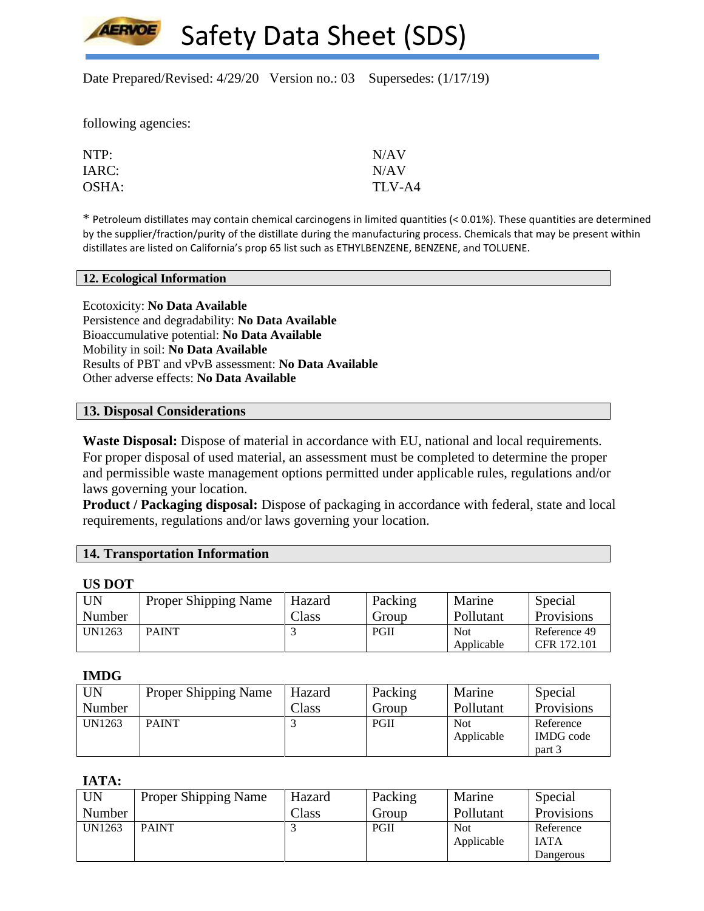Date Prepared/Revised: 4/29/20 Version no.: 03 Supersedes: (1/17/19)

following agencies:

**LERVOE** 

| NTP:  | N/AV   |
|-------|--------|
| IARC: | N/AV   |
| OSHA: | TLV-A4 |

\* Petroleum distillates may contain chemical carcinogens in limited quantities (< 0.01%). These quantities are determined by the supplier/fraction/purity of the distillate during the manufacturing process. Chemicals that may be present within distillates are listed on California's prop 65 list such as ETHYLBENZENE, BENZENE, and TOLUENE.

#### **12. Ecological Information**

Ecotoxicity: **No Data Available** Persistence and degradability: **No Data Available** Bioaccumulative potential: **No Data Available** Mobility in soil: **No Data Available** Results of PBT and vPvB assessment: **No Data Available** Other adverse effects: **No Data Available**

### **13. Disposal Considerations**

**Waste Disposal:** Dispose of material in accordance with EU, national and local requirements. For proper disposal of used material, an assessment must be completed to determine the proper and permissible waste management options permitted under applicable rules, regulations and/or laws governing your location.

**Product / Packaging disposal:** Dispose of packaging in accordance with federal, state and local requirements, regulations and/or laws governing your location.

| <b>14. Transportation Information</b> |  |  |  |
|---------------------------------------|--|--|--|
|---------------------------------------|--|--|--|

#### **US DOT**

| UN     | <b>Proper Shipping Name</b> | Hazard        | Packing | Marine     | Special      |
|--------|-----------------------------|---------------|---------|------------|--------------|
| Number |                             | $\gamma$ lass | Group   | Pollutant  | Provisions   |
| UN1263 | <b>PAINT</b>                |               | PGII    | <b>Not</b> | Reference 49 |
|        |                             |               |         | Applicable | CFR 172.101  |

#### **IMDG**

| <b>UN</b> | <b>Proper Shipping Name</b> | Hazard | Packing | Marine     | Special          |
|-----------|-----------------------------|--------|---------|------------|------------------|
| Number    |                             | Class  | Group   | Pollutant  | Provisions       |
| UN1263    | <b>PAINT</b>                |        | PGII    | <b>Not</b> | Reference        |
|           |                             |        |         | Applicable | <b>IMDG</b> code |
|           |                             |        |         |            | part 3           |

**IATA:**

| UN     | <b>Proper Shipping Name</b> | Hazard         | Packing | Marine     | Special           |
|--------|-----------------------------|----------------|---------|------------|-------------------|
| Number |                             | $\text{Class}$ | Group   | Pollutant  | <b>Provisions</b> |
| UN1263 | <b>PAINT</b>                |                | PGII    | <b>Not</b> | Reference         |
|        |                             |                |         | Applicable | <b>IATA</b>       |
|        |                             |                |         |            | Dangerous         |